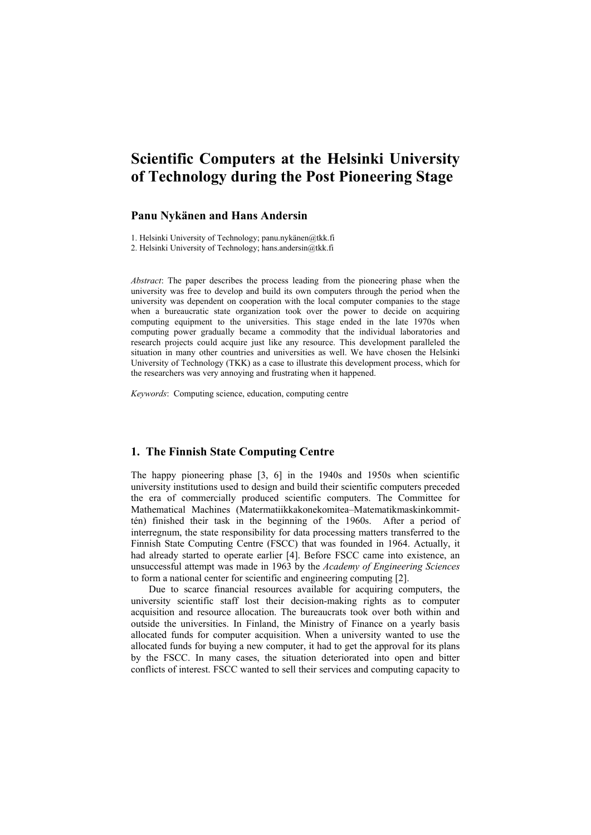# **Scientific Computers at the Helsinki University of Technology during the Post Pioneering Stage**

# **Panu Nykänen and Hans Andersin**

1. Helsinki University of Technology; panu.nykänen@tkk.fi

2. Helsinki University of Technology; hans.andersin@tkk.fi

*Abstract*: The paper describes the process leading from the pioneering phase when the university was free to develop and build its own computers through the period when the university was dependent on cooperation with the local computer companies to the stage when a bureaucratic state organization took over the power to decide on acquiring computing equipment to the universities. This stage ended in the late 1970s when computing power gradually became a commodity that the individual laboratories and research projects could acquire just like any resource. This development paralleled the situation in many other countries and universities as well. We have chosen the Helsinki University of Technology (TKK) as a case to illustrate this development process, which for the researchers was very annoying and frustrating when it happened.

*Keywords*: Computing science, education, computing centre

# **1. The Finnish State Computing Centre**

The happy pioneering phase [3, 6] in the 1940s and 1950s when scientific university institutions used to design and build their scientific computers preceded the era of commercially produced scientific computers. The Committee for Mathematical Machines (Matermatiikkakonekomitea–Matematikmaskinkommittén) finished their task in the beginning of the 1960s. After a period of interregnum, the state responsibility for data processing matters transferred to the Finnish State Computing Centre (FSCC) that was founded in 1964. Actually, it had already started to operate earlier [4]. Before FSCC came into existence, an unsuccessful attempt was made in 1963 by the *Academy of Engineering Sciences* to form a national center for scientific and engineering computing [2].

Due to scarce financial resources available for acquiring computers, the university scientific staff lost their decision-making rights as to computer acquisition and resource allocation. The bureaucrats took over both within and outside the universities. In Finland, the Ministry of Finance on a yearly basis allocated funds for computer acquisition. When a university wanted to use the allocated funds for buying a new computer, it had to get the approval for its plans by the FSCC. In many cases, the situation deteriorated into open and bitter conflicts of interest. FSCC wanted to sell their services and computing capacity to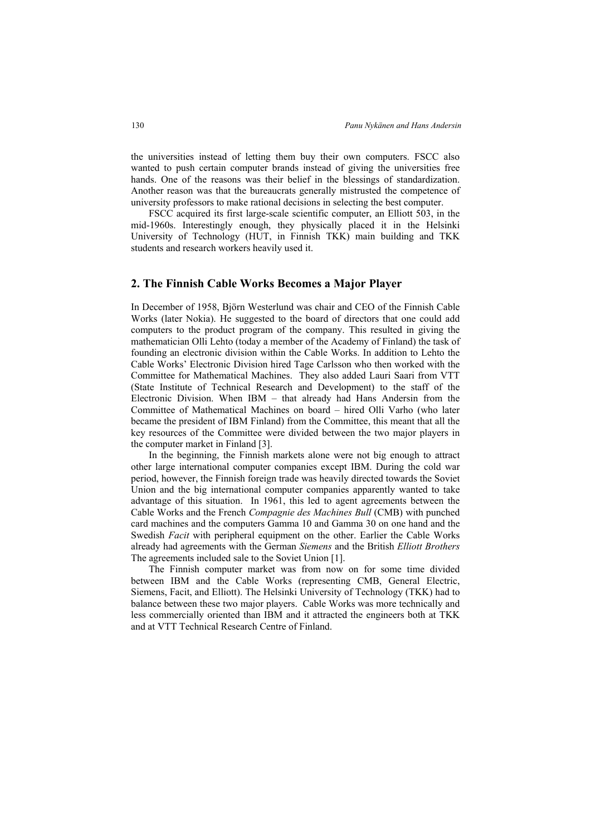the universities instead of letting them buy their own computers. FSCC also wanted to push certain computer brands instead of giving the universities free hands. One of the reasons was their belief in the blessings of standardization. Another reason was that the bureaucrats generally mistrusted the competence of university professors to make rational decisions in selecting the best computer.

FSCC acquired its first large-scale scientific computer, an Elliott 503, in the mid-1960s. Interestingly enough, they physically placed it in the Helsinki University of Technology (HUT, in Finnish TKK) main building and TKK students and research workers heavily used it.

#### **2. The Finnish Cable Works Becomes a Major Player**

In December of 1958, Björn Westerlund was chair and CEO of the Finnish Cable Works (later Nokia). He suggested to the board of directors that one could add computers to the product program of the company. This resulted in giving the mathematician Olli Lehto (today a member of the Academy of Finland) the task of founding an electronic division within the Cable Works. In addition to Lehto the Cable Works' Electronic Division hired Tage Carlsson who then worked with the Committee for Mathematical Machines. They also added Lauri Saari from VTT (State Institute of Technical Research and Development) to the staff of the Electronic Division. When IBM – that already had Hans Andersin from the Committee of Mathematical Machines on board – hired Olli Varho (who later became the president of IBM Finland) from the Committee, this meant that all the key resources of the Committee were divided between the two major players in the computer market in Finland [3].

In the beginning, the Finnish markets alone were not big enough to attract other large international computer companies except IBM. During the cold war period, however, the Finnish foreign trade was heavily directed towards the Soviet Union and the big international computer companies apparently wanted to take advantage of this situation. In 1961, this led to agent agreements between the Cable Works and the French *Compagnie des Machines Bull* (CMB) with punched card machines and the computers Gamma 10 and Gamma 30 on one hand and the Swedish *Facit* with peripheral equipment on the other. Earlier the Cable Works already had agreements with the German *Siemens* and the British *Elliott Brothers* The agreements included sale to the Soviet Union [1].

The Finnish computer market was from now on for some time divided between IBM and the Cable Works (representing CMB, General Electric, Siemens, Facit, and Elliott). The Helsinki University of Technology (TKK) had to balance between these two major players. Cable Works was more technically and less commercially oriented than IBM and it attracted the engineers both at TKK and at VTT Technical Research Centre of Finland.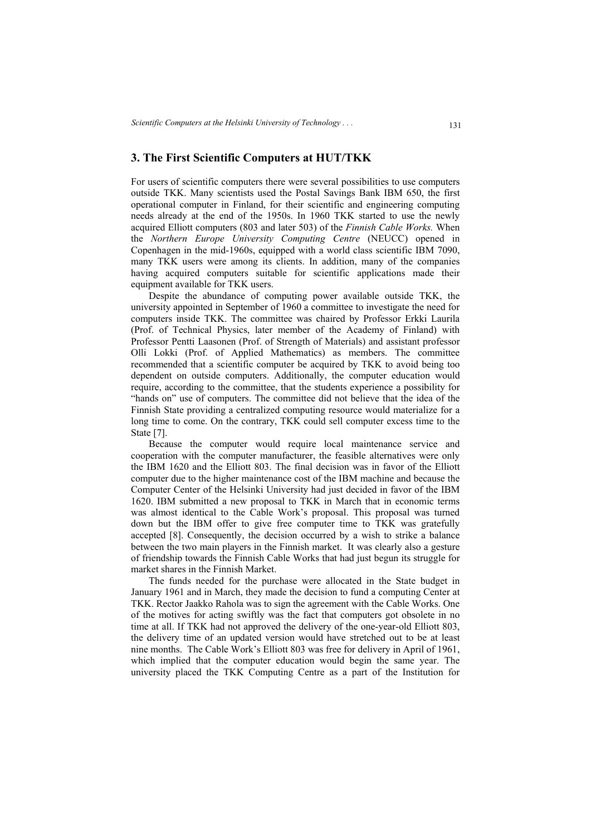## **3. The First Scientific Computers at HUT/TKK**

For users of scientific computers there were several possibilities to use computers outside TKK. Many scientists used the Postal Savings Bank IBM 650, the first operational computer in Finland, for their scientific and engineering computing needs already at the end of the 1950s. In 1960 TKK started to use the newly acquired Elliott computers (803 and later 503) of the *Finnish Cable Works.* When the *Northern Europe University Computing Centre* (NEUCC) opened in Copenhagen in the mid-1960s, equipped with a world class scientific IBM 7090, many TKK users were among its clients. In addition, many of the companies having acquired computers suitable for scientific applications made their equipment available for TKK users.

Despite the abundance of computing power available outside TKK, the university appointed in September of 1960 a committee to investigate the need for computers inside TKK. The committee was chaired by Professor Erkki Laurila (Prof. of Technical Physics, later member of the Academy of Finland) with Professor Pentti Laasonen (Prof. of Strength of Materials) and assistant professor Olli Lokki (Prof. of Applied Mathematics) as members. The committee recommended that a scientific computer be acquired by TKK to avoid being too dependent on outside computers. Additionally, the computer education would require, according to the committee, that the students experience a possibility for "hands on" use of computers. The committee did not believe that the idea of the Finnish State providing a centralized computing resource would materialize for a long time to come. On the contrary, TKK could sell computer excess time to the State [7].

Because the computer would require local maintenance service and cooperation with the computer manufacturer, the feasible alternatives were only the IBM 1620 and the Elliott 803. The final decision was in favor of the Elliott computer due to the higher maintenance cost of the IBM machine and because the Computer Center of the Helsinki University had just decided in favor of the IBM 1620. IBM submitted a new proposal to TKK in March that in economic terms was almost identical to the Cable Work's proposal. This proposal was turned down but the IBM offer to give free computer time to TKK was gratefully accepted [8]. Consequently, the decision occurred by a wish to strike a balance between the two main players in the Finnish market. It was clearly also a gesture of friendship towards the Finnish Cable Works that had just begun its struggle for market shares in the Finnish Market.

The funds needed for the purchase were allocated in the State budget in January 1961 and in March, they made the decision to fund a computing Center at TKK. Rector Jaakko Rahola was to sign the agreement with the Cable Works. One of the motives for acting swiftly was the fact that computers got obsolete in no time at all. If TKK had not approved the delivery of the one-year-old Elliott 803, the delivery time of an updated version would have stretched out to be at least nine months. The Cable Work's Elliott 803 was free for delivery in April of 1961, which implied that the computer education would begin the same year. The university placed the TKK Computing Centre as a part of the Institution for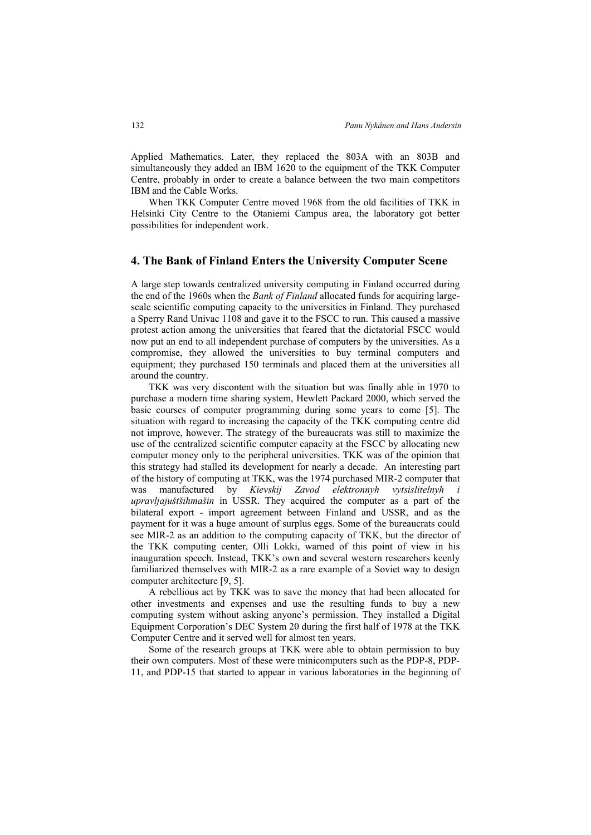Applied Mathematics. Later, they replaced the 803A with an 803B and simultaneously they added an IBM 1620 to the equipment of the TKK Computer Centre, probably in order to create a balance between the two main competitors IBM and the Cable Works.

When TKK Computer Centre moved 1968 from the old facilities of TKK in Helsinki City Centre to the Otaniemi Campus area, the laboratory got better possibilities for independent work.

### **4. The Bank of Finland Enters the University Computer Scene**

A large step towards centralized university computing in Finland occurred during the end of the 1960s when the *Bank of Finland* allocated funds for acquiring largescale scientific computing capacity to the universities in Finland. They purchased a Sperry Rand Univac 1108 and gave it to the FSCC to run. This caused a massive protest action among the universities that feared that the dictatorial FSCC would now put an end to all independent purchase of computers by the universities. As a compromise, they allowed the universities to buy terminal computers and equipment; they purchased 150 terminals and placed them at the universities all around the country.

TKK was very discontent with the situation but was finally able in 1970 to purchase a modern time sharing system, Hewlett Packard 2000, which served the basic courses of computer programming during some years to come [5]. The situation with regard to increasing the capacity of the TKK computing centre did not improve, however. The strategy of the bureaucrats was still to maximize the use of the centralized scientific computer capacity at the FSCC by allocating new computer money only to the peripheral universities. TKK was of the opinion that this strategy had stalled its development for nearly a decade. An interesting part of the history of computing at TKK, was the 1974 purchased MIR-2 computer that was manufactured by *Kievskij Zavod elektronnyh vytsislitelnyh i upravljajuštšihmašin* in USSR. They acquired the computer as a part of the bilateral export - import agreement between Finland and USSR, and as the payment for it was a huge amount of surplus eggs. Some of the bureaucrats could see MIR-2 as an addition to the computing capacity of TKK, but the director of the TKK computing center, Olli Lokki, warned of this point of view in his inauguration speech. Instead, TKK's own and several western researchers keenly familiarized themselves with MIR-2 as a rare example of a Soviet way to design computer architecture [9, 5].

A rebellious act by TKK was to save the money that had been allocated for other investments and expenses and use the resulting funds to buy a new computing system without asking anyone's permission. They installed a Digital Equipment Corporation's DEC System 20 during the first half of 1978 at the TKK Computer Centre and it served well for almost ten years.

Some of the research groups at TKK were able to obtain permission to buy their own computers. Most of these were minicomputers such as the PDP-8, PDP-11, and PDP-15 that started to appear in various laboratories in the beginning of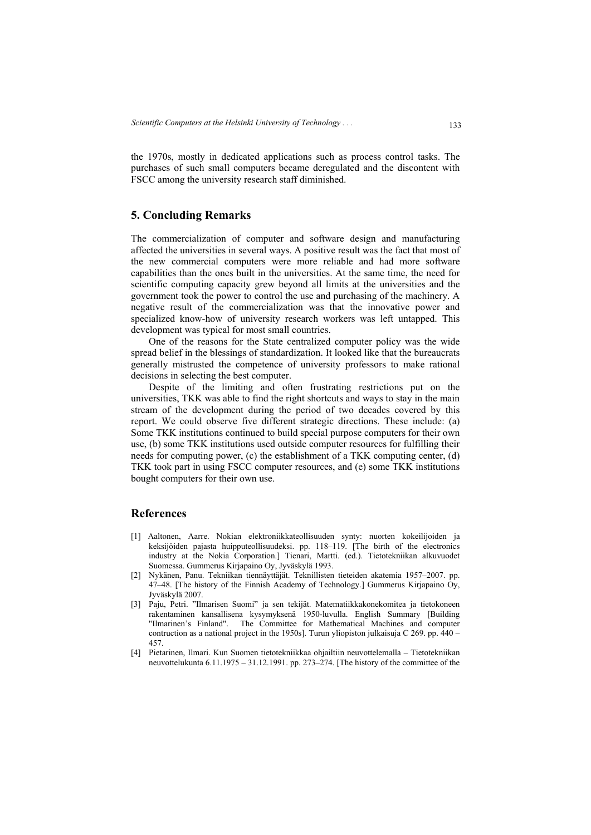the 1970s, mostly in dedicated applications such as process control tasks. The purchases of such small computers became deregulated and the discontent with FSCC among the university research staff diminished.

# **5. Concluding Remarks**

The commercialization of computer and software design and manufacturing affected the universities in several ways. A positive result was the fact that most of the new commercial computers were more reliable and had more software capabilities than the ones built in the universities. At the same time, the need for scientific computing capacity grew beyond all limits at the universities and the government took the power to control the use and purchasing of the machinery. A negative result of the commercialization was that the innovative power and specialized know-how of university research workers was left untapped. This development was typical for most small countries.

One of the reasons for the State centralized computer policy was the wide spread belief in the blessings of standardization. It looked like that the bureaucrats generally mistrusted the competence of university professors to make rational decisions in selecting the best computer.

Despite of the limiting and often frustrating restrictions put on the universities, TKK was able to find the right shortcuts and ways to stay in the main stream of the development during the period of two decades covered by this report. We could observe five different strategic directions. These include: (a) Some TKK institutions continued to build special purpose computers for their own use, (b) some TKK institutions used outside computer resources for fulfilling their needs for computing power, (c) the establishment of a TKK computing center, (d) TKK took part in using FSCC computer resources, and (e) some TKK institutions bought computers for their own use.

## **References**

- [1] Aaltonen, Aarre. Nokian elektroniikkateollisuuden synty: nuorten kokeilijoiden ja keksijöiden pajasta huipputeollisuudeksi. pp. 118–119. [The birth of the electronics industry at the Nokia Corporation.] Tienari, Martti. (ed.). Tietotekniikan alkuvuodet Suomessa. Gummerus Kirjapaino Oy, Jyväskylä 1993.
- [2] Nykänen, Panu. Tekniikan tiennäyttäjät. Teknillisten tieteiden akatemia 1957–2007. pp. 47–48. [The history of the Finnish Academy of Technology.] Gummerus Kirjapaino Oy, Jyväskylä 2007.
- [3] Paju, Petri. "Ilmarisen Suomi" ja sen tekijät. Matematiikkakonekomitea ja tietokoneen rakentaminen kansallisena kysymyksenä 1950-luvulla. English Summary [Building "Ilmarinen's Finland". The Committee for Mathematical Machines and computer contruction as a national project in the 1950s]. Turun yliopiston julkaisuja C 269. pp. 440 – 457.
- [4] Pietarinen, Ilmari. Kun Suomen tietotekniikkaa ohjailtiin neuvottelemalla Tietotekniikan neuvottelukunta 6.11.1975 – 31.12.1991. pp. 273–274. [The history of the committee of the